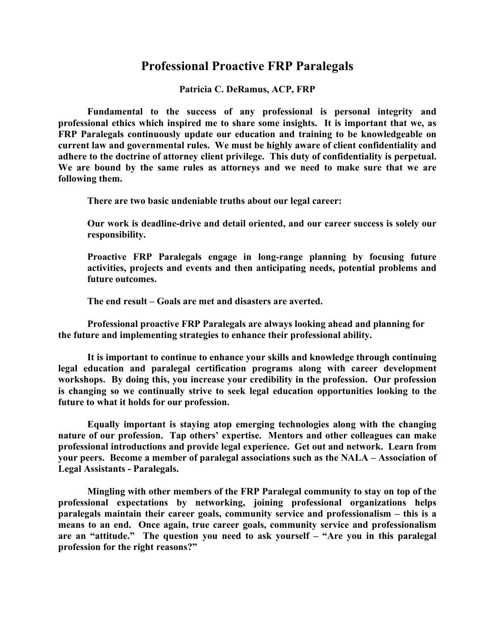## **Professional Proactive FRP Paralegals**

**Patricia C. DeRamus, ACP, FRP**

**Fundamental to the success of any professional is personal integrity and professional ethics which inspired me to share some insights. It is important that we, as FRP Paralegals continuously update our education and training to be knowledgeable on current law and governmental rules. We must be highly aware of client confidentiality and adhere to the doctrine of attorney client privilege. This duty of confidentiality is perpetual. We are bound by the same rules as attorneys and we need to make sure that we are following them.** 

**There are two basic undeniable truths about our legal career:**

**Our work is deadline-drive and detail oriented, and our career success is solely our responsibility.** 

**Proactive FRP Paralegals engage in long-range planning by focusing future activities, projects and events and then anticipating needs, potential problems and future outcomes.** 

**The end result – Goals are met and disasters are averted.** 

**Professional proactive FRP Paralegals are always looking ahead and planning for the future and implementing strategies to enhance their professional ability.**

**It is important to continue to enhance your skills and knowledge through continuing legal education and paralegal certification programs along with career development workshops. By doing this, you increase your credibility in the profession. Our profession is changing so we continually strive to seek legal education opportunities looking to the future to what it holds for our profession.**

**Equally important is staying atop emerging technologies along with the changing nature of our profession. Tap others' expertise. Mentors and other colleagues can make professional introductions and provide legal experience. Get out and network. Learn from your peers. Become a member of paralegal associations such as the NALA – Association of Legal Assistants - Paralegals.**

**Mingling with other members of the FRP Paralegal community to stay on top of the professional expectations by networking, joining professional organizations helps paralegals maintain their career goals, community service and professionalism – this is a means to an end. Once again, true career goals, community service and professionalism are an "attitude." The question you need to ask yourself – "Are you in this paralegal profession for the right reasons?"**